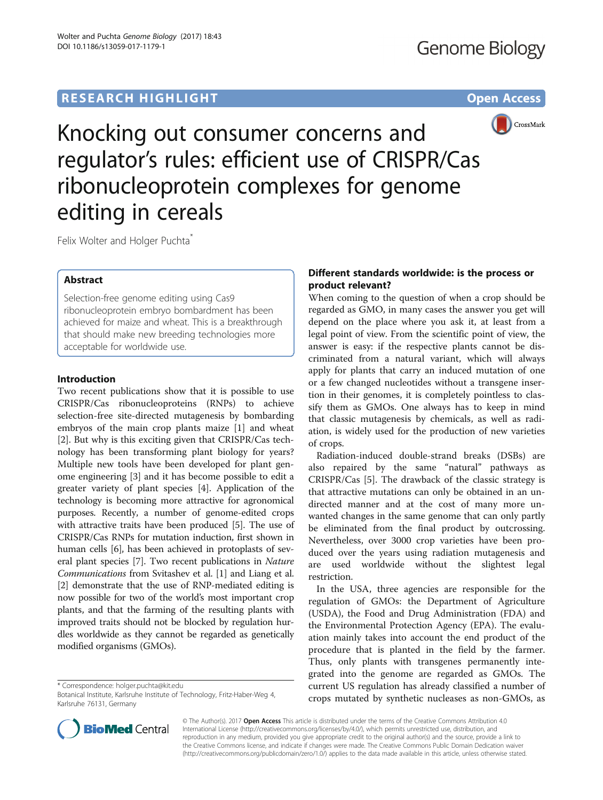

Knocking out consumer concerns and regulator's rules: efficient use of CRISPR/Cas ribonucleoprotein complexes for genome editing in cereals

Felix Wolter and Holger Puchta<sup>\*</sup>

# Abstract

Selection-free genome editing using Cas9 ribonucleoprotein embryo bombardment has been achieved for maize and wheat. This is a breakthrough that should make new breeding technologies more acceptable for worldwide use.

## Introduction

Two recent publications show that it is possible to use CRISPR/Cas ribonucleoproteins (RNPs) to achieve selection-free site-directed mutagenesis by bombarding embryos of the main crop plants maize [\[1](#page-2-0)] and wheat [[2\]](#page-2-0). But why is this exciting given that CRISPR/Cas technology has been transforming plant biology for years? Multiple new tools have been developed for plant genome engineering [\[3](#page-2-0)] and it has become possible to edit a greater variety of plant species [[4\]](#page-2-0). Application of the technology is becoming more attractive for agronomical purposes. Recently, a number of genome-edited crops with attractive traits have been produced [\[5](#page-2-0)]. The use of CRISPR/Cas RNPs for mutation induction, first shown in human cells [\[6](#page-2-0)], has been achieved in protoplasts of several plant species [\[7](#page-2-0)]. Two recent publications in Nature Communications from Svitashev et al. [\[1](#page-2-0)] and Liang et al. [[2\]](#page-2-0) demonstrate that the use of RNP-mediated editing is now possible for two of the world's most important crop plants, and that the farming of the resulting plants with improved traits should not be blocked by regulation hurdles worldwide as they cannot be regarded as genetically modified organisms (GMOs).

\* Correspondence: [holger.puchta@kit.edu](mailto:holger.puchta@kit.edu)

# Different standards worldwide: is the process or product relevant?

When coming to the question of when a crop should be regarded as GMO, in many cases the answer you get will depend on the place where you ask it, at least from a legal point of view. From the scientific point of view, the answer is easy: if the respective plants cannot be discriminated from a natural variant, which will always apply for plants that carry an induced mutation of one or a few changed nucleotides without a transgene insertion in their genomes, it is completely pointless to classify them as GMOs. One always has to keep in mind that classic mutagenesis by chemicals, as well as radiation, is widely used for the production of new varieties of crops.

Radiation-induced double-strand breaks (DSBs) are also repaired by the same "natural" pathways as CRISPR/Cas [[5](#page-2-0)]. The drawback of the classic strategy is that attractive mutations can only be obtained in an undirected manner and at the cost of many more unwanted changes in the same genome that can only partly be eliminated from the final product by outcrossing. Nevertheless, over 3000 crop varieties have been produced over the years using radiation mutagenesis and are used worldwide without the slightest legal restriction.

In the USA, three agencies are responsible for the regulation of GMOs: the Department of Agriculture (USDA), the Food and Drug Administration (FDA) and the Environmental Protection Agency (EPA). The evaluation mainly takes into account the end product of the procedure that is planted in the field by the farmer. Thus, only plants with transgenes permanently integrated into the genome are regarded as GMOs. The current US regulation has already classified a number of crops mutated by synthetic nucleases as non-GMOs, as



© The Author(s). 2017 **Open Access** This article is distributed under the terms of the Creative Commons Attribution 4.0 International License [\(http://creativecommons.org/licenses/by/4.0/](http://creativecommons.org/licenses/by/4.0/)), which permits unrestricted use, distribution, and reproduction in any medium, provided you give appropriate credit to the original author(s) and the source, provide a link to the Creative Commons license, and indicate if changes were made. The Creative Commons Public Domain Dedication waiver [\(http://creativecommons.org/publicdomain/zero/1.0/](http://creativecommons.org/publicdomain/zero/1.0/)) applies to the data made available in this article, unless otherwise stated.

Botanical Institute, Karlsruhe Institute of Technology, Fritz-Haber-Weg 4, Karlsruhe 76131, Germany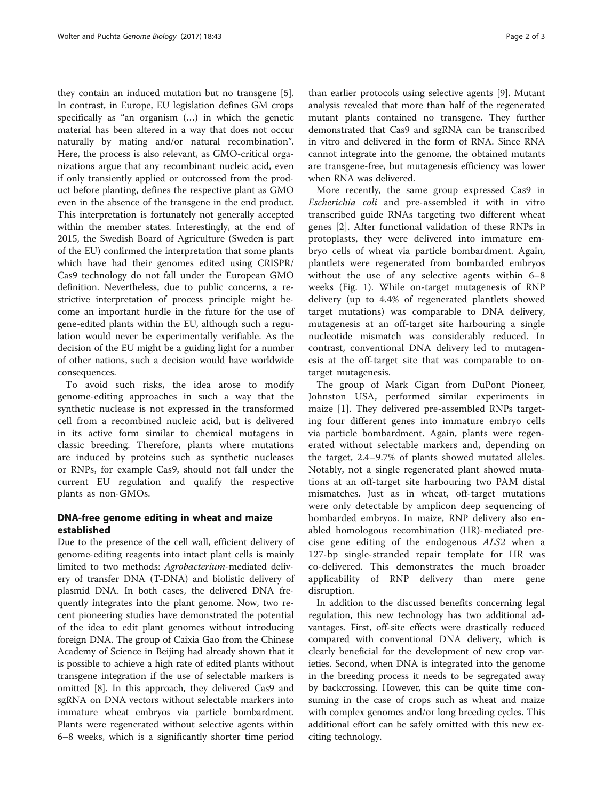they contain an induced mutation but no transgene [\[5](#page-2-0)]. In contrast, in Europe, EU legislation defines GM crops specifically as "an organism (…) in which the genetic material has been altered in a way that does not occur naturally by mating and/or natural recombination". Here, the process is also relevant, as GMO-critical organizations argue that any recombinant nucleic acid, even if only transiently applied or outcrossed from the product before planting, defines the respective plant as GMO even in the absence of the transgene in the end product. This interpretation is fortunately not generally accepted within the member states. Interestingly, at the end of 2015, the Swedish Board of Agriculture (Sweden is part of the EU) confirmed the interpretation that some plants which have had their genomes edited using CRISPR/ Cas9 technology do not fall under the European GMO definition. Nevertheless, due to public concerns, a restrictive interpretation of process principle might become an important hurdle in the future for the use of gene-edited plants within the EU, although such a regulation would never be experimentally verifiable. As the decision of the EU might be a guiding light for a number of other nations, such a decision would have worldwide consequences.

To avoid such risks, the idea arose to modify genome-editing approaches in such a way that the synthetic nuclease is not expressed in the transformed cell from a recombined nucleic acid, but is delivered in its active form similar to chemical mutagens in classic breeding. Therefore, plants where mutations are induced by proteins such as synthetic nucleases or RNPs, for example Cas9, should not fall under the current EU regulation and qualify the respective plants as non-GMOs.

# DNA-free genome editing in wheat and maize established

Due to the presence of the cell wall, efficient delivery of genome-editing reagents into intact plant cells is mainly limited to two methods: Agrobacterium-mediated delivery of transfer DNA (T-DNA) and biolistic delivery of plasmid DNA. In both cases, the delivered DNA frequently integrates into the plant genome. Now, two recent pioneering studies have demonstrated the potential of the idea to edit plant genomes without introducing foreign DNA. The group of Caixia Gao from the Chinese Academy of Science in Beijing had already shown that it is possible to achieve a high rate of edited plants without transgene integration if the use of selectable markers is omitted [\[8](#page-2-0)]. In this approach, they delivered Cas9 and sgRNA on DNA vectors without selectable markers into immature wheat embryos via particle bombardment. Plants were regenerated without selective agents within 6–8 weeks, which is a significantly shorter time period

than earlier protocols using selective agents [\[9\]](#page-2-0). Mutant analysis revealed that more than half of the regenerated mutant plants contained no transgene. They further demonstrated that Cas9 and sgRNA can be transcribed in vitro and delivered in the form of RNA. Since RNA cannot integrate into the genome, the obtained mutants are transgene-free, but mutagenesis efficiency was lower when RNA was delivered.

More recently, the same group expressed Cas9 in Escherichia coli and pre-assembled it with in vitro transcribed guide RNAs targeting two different wheat genes [[2](#page-2-0)]. After functional validation of these RNPs in protoplasts, they were delivered into immature embryo cells of wheat via particle bombardment. Again, plantlets were regenerated from bombarded embryos without the use of any selective agents within 6–8 weeks (Fig. [1\)](#page-2-0). While on-target mutagenesis of RNP delivery (up to 4.4% of regenerated plantlets showed target mutations) was comparable to DNA delivery, mutagenesis at an off-target site harbouring a single nucleotide mismatch was considerably reduced. In contrast, conventional DNA delivery led to mutagenesis at the off-target site that was comparable to ontarget mutagenesis.

The group of Mark Cigan from DuPont Pioneer, Johnston USA, performed similar experiments in maize [[1\]](#page-2-0). They delivered pre-assembled RNPs targeting four different genes into immature embryo cells via particle bombardment. Again, plants were regenerated without selectable markers and, depending on the target, 2.4–9.7% of plants showed mutated alleles. Notably, not a single regenerated plant showed mutations at an off-target site harbouring two PAM distal mismatches. Just as in wheat, off-target mutations were only detectable by amplicon deep sequencing of bombarded embryos. In maize, RNP delivery also enabled homologous recombination (HR)-mediated precise gene editing of the endogenous ALS2 when a 127-bp single-stranded repair template for HR was co-delivered. This demonstrates the much broader applicability of RNP delivery than mere gene disruption.

In addition to the discussed benefits concerning legal regulation, this new technology has two additional advantages. First, off-site effects were drastically reduced compared with conventional DNA delivery, which is clearly beneficial for the development of new crop varieties. Second, when DNA is integrated into the genome in the breeding process it needs to be segregated away by backcrossing. However, this can be quite time consuming in the case of crops such as wheat and maize with complex genomes and/or long breeding cycles. This additional effort can be safely omitted with this new exciting technology.